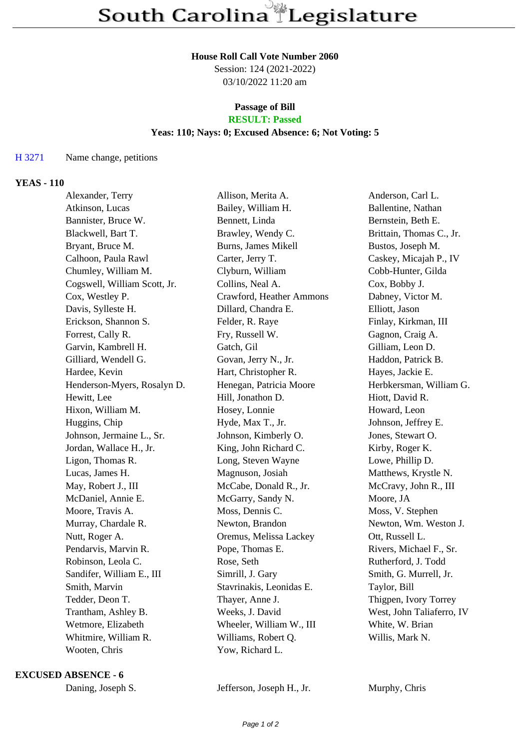#### **House Roll Call Vote Number 2060**

Session: 124 (2021-2022) 03/10/2022 11:20 am

# **Passage of Bill**

# **RESULT: Passed**

## **Yeas: 110; Nays: 0; Excused Absence: 6; Not Voting: 5**

#### H 3271 Name change, petitions

### **YEAS - 110**

| Alexander, Terry             | Allison, Merita A.       | Anderson, Carl L.         |
|------------------------------|--------------------------|---------------------------|
| Atkinson, Lucas              | Bailey, William H.       | Ballentine, Nathan        |
| Bannister, Bruce W.          | Bennett, Linda           | Bernstein, Beth E.        |
| Blackwell, Bart T.           | Brawley, Wendy C.        | Brittain, Thomas C., Jr.  |
| Bryant, Bruce M.             | Burns, James Mikell      | Bustos, Joseph M.         |
| Calhoon, Paula Rawl          | Carter, Jerry T.         | Caskey, Micajah P., IV    |
| Chumley, William M.          | Clyburn, William         | Cobb-Hunter, Gilda        |
| Cogswell, William Scott, Jr. | Collins, Neal A.         | Cox, Bobby J.             |
| Cox, Westley P.              | Crawford, Heather Ammons | Dabney, Victor M.         |
| Davis, Sylleste H.           | Dillard, Chandra E.      | Elliott, Jason            |
| Erickson, Shannon S.         | Felder, R. Raye          | Finlay, Kirkman, III      |
| Forrest, Cally R.            | Fry, Russell W.          | Gagnon, Craig A.          |
| Garvin, Kambrell H.          | Gatch, Gil               | Gilliam, Leon D.          |
| Gilliard, Wendell G.         | Govan, Jerry N., Jr.     | Haddon, Patrick B.        |
| Hardee, Kevin                | Hart, Christopher R.     | Hayes, Jackie E.          |
| Henderson-Myers, Rosalyn D.  | Henegan, Patricia Moore  | Herbkersman, William G.   |
| Hewitt, Lee                  | Hill, Jonathon D.        | Hiott, David R.           |
| Hixon, William M.            | Hosey, Lonnie            | Howard, Leon              |
| Huggins, Chip                | Hyde, Max T., Jr.        | Johnson, Jeffrey E.       |
| Johnson, Jermaine L., Sr.    | Johnson, Kimberly O.     | Jones, Stewart O.         |
| Jordan, Wallace H., Jr.      | King, John Richard C.    | Kirby, Roger K.           |
| Ligon, Thomas R.             | Long, Steven Wayne       | Lowe, Phillip D.          |
| Lucas, James H.              | Magnuson, Josiah         | Matthews, Krystle N.      |
| May, Robert J., III          | McCabe, Donald R., Jr.   | McCravy, John R., III     |
| McDaniel, Annie E.           | McGarry, Sandy N.        | Moore, JA                 |
| Moore, Travis A.             | Moss, Dennis C.          | Moss, V. Stephen          |
| Murray, Chardale R.          | Newton, Brandon          | Newton, Wm. Weston J.     |
| Nutt, Roger A.               | Oremus, Melissa Lackey   | Ott, Russell L.           |
| Pendarvis, Marvin R.         | Pope, Thomas E.          | Rivers, Michael F., Sr.   |
| Robinson, Leola C.           | Rose, Seth               | Rutherford, J. Todd       |
| Sandifer, William E., III    | Simrill, J. Gary         | Smith, G. Murrell, Jr.    |
| Smith, Marvin                | Stavrinakis, Leonidas E. | Taylor, Bill              |
| Tedder, Deon T.              | Thayer, Anne J.          | Thigpen, Ivory Torrey     |
| Trantham, Ashley B.          | Weeks, J. David          | West, John Taliaferro, IV |
| Wetmore, Elizabeth           | Wheeler, William W., III | White, W. Brian           |
| Whitmire, William R.         | Williams, Robert Q.      | Willis, Mark N.           |
| Wooten, Chris                | Yow, Richard L.          |                           |

#### **EXCUSED ABSENCE - 6**

Jefferson, Joseph H., Jr. Murphy, Chris